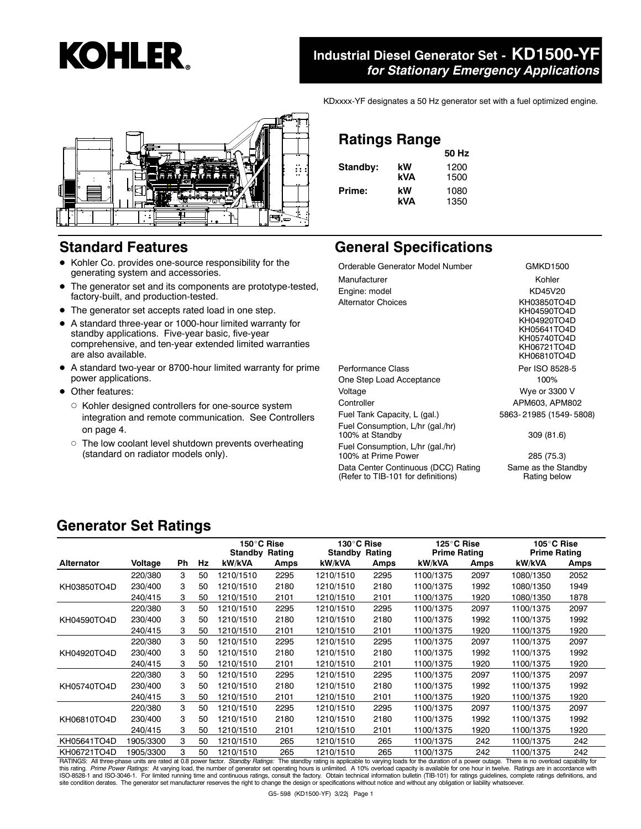

#### **Industrial Diesel Generator Set - KD1500-YF** *for Stationary Emergency Applications*

KDxxxx-YF designates a 50 Hz generator set with a fuel optimized engine.



#### **Standard Features**

- Kohler Co. provides one-source responsibility for the generating system and accessories.
- The generator set and its components are prototype-tested, factory-built, and production-tested.
- The generator set accepts rated load in one step.
- A standard three-year or 1000-hour limited warranty for standby applications. Five-year basic, five-year comprehensive, and ten-year extended limited warranties are also available.
- A standard two-year or 8700-hour limited warranty for prime power applications.
- Other features:
	- $\circ$  Kohler designed controllers for one-source system integration and remote communication. See Controllers on page 4.
	- o The low coolant level shutdown prevents overheating (standard on radiator models only).

## **Ratings Range 50 Hz**

| Standby: | kW  | 1200 |
|----------|-----|------|
|          | kVA | 1500 |
| Prime:   | kW  | 1080 |
|          | kVA | 1350 |

#### **General Specifications**

| Orderable Generator Model Number                                          | <b>GMKD1500</b>                                                                                       |
|---------------------------------------------------------------------------|-------------------------------------------------------------------------------------------------------|
| Manufacturer                                                              | Kohler                                                                                                |
| Engine: model                                                             | KD45V20                                                                                               |
| <b>Alternator Choices</b>                                                 | KH03850TO4D<br>KH04590TO4D<br>KH04920TO4D<br>KH05641TO4D<br>KH05740TO4D<br>KH06721TO4D<br>KH06810TO4D |
| Performance Class                                                         | Per ISO 8528-5                                                                                        |
| One Step Load Acceptance                                                  | 100%                                                                                                  |
| Voltage                                                                   | Wye or 3300 V                                                                                         |
| Controller                                                                | APM603, APM802                                                                                        |
| Fuel Tank Capacity, L (gal.)                                              | 5863-21985 (1549-5808)                                                                                |
| Fuel Consumption, L/hr (gal./hr)<br>100% at Standby                       | 309 (81.6)                                                                                            |
| Fuel Consumption, L/hr (gal./hr)<br>100% at Prime Power                   | 285 (75.3)                                                                                            |
| Data Center Continuous (DCC) Rating<br>(Refer to TIB-101 for definitions) | Same as the Standby<br>Rating below                                                                   |

#### **Generator Set Ratings**

|             |           |    |    | 150°C Rise<br><b>Standby Rating</b> |      | 130°C Rise<br><b>Standby Rating</b> |      | 125°C Rise<br><b>Prime Rating</b> |      | 105°C Rise<br><b>Prime Rating</b> |      |
|-------------|-----------|----|----|-------------------------------------|------|-------------------------------------|------|-----------------------------------|------|-----------------------------------|------|
| Alternator  | Voltage   | Ph | Hz | kW/kVA                              | Amps | kW/kVA                              | Amps | kW/kVA                            | Amps | kW/kVA                            | Amps |
|             | 220/380   | 3  | 50 | 1210/1510                           | 2295 | 1210/1510                           | 2295 | 1100/1375                         | 2097 | 1080/1350                         | 2052 |
| KH03850TO4D | 230/400   | 3  | 50 | 1210/1510                           | 2180 | 1210/1510                           | 2180 | 1100/1375                         | 1992 | 1080/1350                         | 1949 |
|             | 240/415   | 3  | 50 | 1210/1510                           | 2101 | 1210/1510                           | 2101 | 1100/1375                         | 1920 | 1080/1350                         | 1878 |
|             | 220/380   | 3  | 50 | 1210/1510                           | 2295 | 1210/1510                           | 2295 | 1100/1375                         | 2097 | 1100/1375                         | 2097 |
| KH04590TO4D | 230/400   | 3  | 50 | 1210/1510                           | 2180 | 1210/1510                           | 2180 | 1100/1375                         | 1992 | 1100/1375                         | 1992 |
|             | 240/415   | 3  | 50 | 1210/1510                           | 2101 | 1210/1510                           | 2101 | 1100/1375                         | 1920 | 1100/1375                         | 1920 |
|             | 220/380   | 3  | 50 | 1210/1510                           | 2295 | 1210/1510                           | 2295 | 1100/1375                         | 2097 | 1100/1375                         | 2097 |
| KH04920TO4D | 230/400   | 3  | 50 | 1210/1510                           | 2180 | 1210/1510                           | 2180 | 1100/1375                         | 1992 | 1100/1375                         | 1992 |
|             | 240/415   | 3  | 50 | 1210/1510                           | 2101 | 1210/1510                           | 2101 | 1100/1375                         | 1920 | 1100/1375                         | 1920 |
|             | 220/380   | 3  | 50 | 1210/1510                           | 2295 | 1210/1510                           | 2295 | 1100/1375                         | 2097 | 1100/1375                         | 2097 |
| KH05740TO4D | 230/400   | 3  | 50 | 1210/1510                           | 2180 | 1210/1510                           | 2180 | 1100/1375                         | 1992 | 1100/1375                         | 1992 |
|             | 240/415   | 3  | 50 | 1210/1510                           | 2101 | 1210/1510                           | 2101 | 1100/1375                         | 1920 | 1100/1375                         | 1920 |
|             | 220/380   | 3  | 50 | 1210/1510                           | 2295 | 1210/1510                           | 2295 | 1100/1375                         | 2097 | 1100/1375                         | 2097 |
| KH06810TO4D | 230/400   | 3  | 50 | 1210/1510                           | 2180 | 1210/1510                           | 2180 | 1100/1375                         | 1992 | 1100/1375                         | 1992 |
|             | 240/415   | 3  | 50 | 1210/1510                           | 2101 | 1210/1510                           | 2101 | 1100/1375                         | 1920 | 1100/1375                         | 1920 |
| KH05641TO4D | 1905/3300 | 3  | 50 | 1210/1510                           | 265  | 1210/1510                           | 265  | 1100/1375                         | 242  | 1100/1375                         | 242  |
| KH06721TO4D | 1905/3300 | 3  | 50 | 1210/1510                           | 265  | 1210/1510                           | 265  | 1100/1375                         | 242  | 1100/1375                         | 242  |

RATINGS: All three-phase units are rated at 0.8 power factor. *Standby Ratings:* The standby rating is applicable to varying loads for the duration of a power outage. There is no overload capability for<br>this rating. *Prime*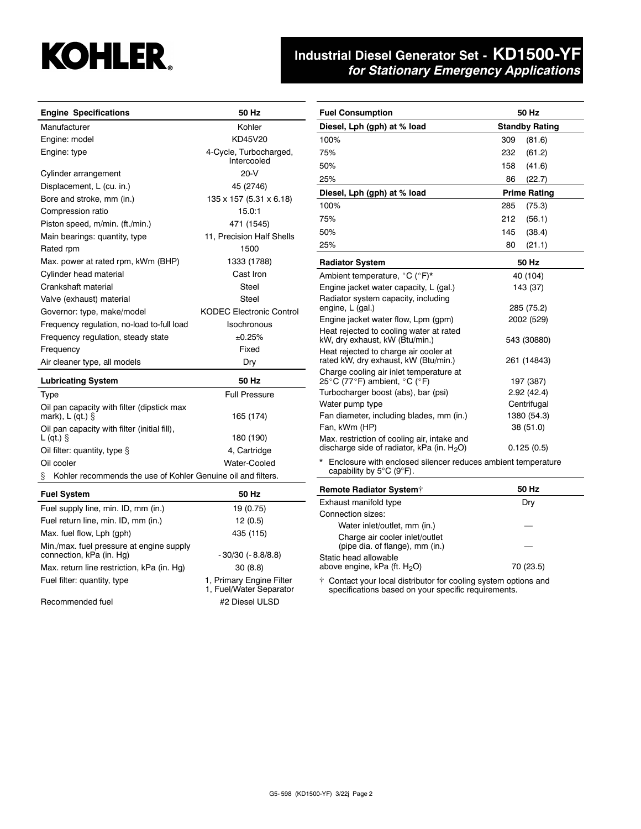# **KOHLER.**

## **Industrial Diesel Generator Set - KD1500-YF** *for Stationary Emergency Applications*

| <b>Engine Specifications</b>                                   | 50 Hz                                               | <b>Fuel Consumption</b>                                                                                                | 50 Hz                 |
|----------------------------------------------------------------|-----------------------------------------------------|------------------------------------------------------------------------------------------------------------------------|-----------------------|
| Manufacturer                                                   | Kohler                                              | Diesel, Lph (gph) at % load                                                                                            | <b>Standby Rating</b> |
| Engine: model                                                  | KD45V20                                             | 100%                                                                                                                   | 309<br>(81.6)         |
| Engine: type                                                   | 4-Cycle, Turbocharged,                              | 75%                                                                                                                    | 232<br>(61.2)         |
|                                                                | Intercooled                                         | 50%                                                                                                                    | 158<br>(41.6)         |
| Cylinder arrangement                                           | $20-V$                                              | 25%                                                                                                                    | 86<br>(22.7)          |
| Displacement, L (cu. in.)                                      | 45 (2746)                                           | Diesel, Lph (gph) at % load                                                                                            | <b>Prime Rating</b>   |
| Bore and stroke, mm (in.)                                      | 135 x 157 (5.31 x 6.18)                             | 100%                                                                                                                   | 285<br>(75.3)         |
| Compression ratio                                              | 15.0:1                                              | 75%                                                                                                                    | 212<br>(56.1)         |
| Piston speed, m/min. (ft./min.)                                | 471 (1545)                                          | 50%                                                                                                                    | 145<br>(38.4)         |
| Main bearings: quantity, type                                  | 11, Precision Half Shells                           | 25%                                                                                                                    | 80<br>(21.1)          |
| Rated rpm                                                      | 1500                                                |                                                                                                                        |                       |
| Max. power at rated rpm, kWm (BHP)                             | 1333 (1788)                                         | <b>Radiator System</b>                                                                                                 | 50 Hz                 |
| Cylinder head material                                         | Cast Iron                                           | Ambient temperature, °C (°F)*                                                                                          | 40 (104)              |
| Crankshaft material                                            | Steel                                               | Engine jacket water capacity, L (gal.)                                                                                 | 143 (37)              |
| Valve (exhaust) material                                       | Steel                                               | Radiator system capacity, including<br>engine, L (gal.)                                                                | 285 (75.2)            |
| Governor: type, make/model                                     | <b>KODEC Electronic Control</b>                     | Engine jacket water flow, Lpm (gpm)                                                                                    | 2002 (529)            |
| Frequency regulation, no-load to-full load                     | Isochronous                                         | Heat rejected to cooling water at rated                                                                                |                       |
| Frequency regulation, steady state                             | ±0.25%                                              | kW, dry exhaust, kW (Btu/min.)                                                                                         | 543 (30880)           |
| Frequency                                                      | Fixed                                               | Heat rejected to charge air cooler at                                                                                  |                       |
| Air cleaner type, all models                                   | Dry                                                 | rated kW, dry exhaust, kW (Btu/min.)                                                                                   | 261 (14843)           |
| <b>Lubricating System</b>                                      | 50 Hz                                               | Charge cooling air inlet temperature at<br>25°C (77°F) ambient, °C (°F)                                                | 197 (387)             |
| <b>Type</b>                                                    | <b>Full Pressure</b>                                | Turbocharger boost (abs), bar (psi)                                                                                    | 2.92(42.4)            |
| Oil pan capacity with filter (dipstick max                     |                                                     | Water pump type                                                                                                        | Centrifugal           |
| mark), $L$ (qt.) $\S$                                          | 165 (174)                                           | Fan diameter, including blades, mm (in.)                                                                               | 1380 (54.3)           |
| Oil pan capacity with filter (initial fill),<br>$L$ (qt.) $\S$ | 180 (190)                                           | Fan, kWm (HP)<br>Max. restriction of cooling air, intake and                                                           | 38 (51.0)             |
| Oil filter: quantity, type $\S$                                | 4, Cartridge                                        | discharge side of radiator, kPa (in. $H_2O$ )                                                                          | 0.125(0.5)            |
| Oil cooler                                                     | Water-Cooled                                        | * Enclosure with enclosed silencer reduces ambient temperature                                                         |                       |
| Kohler recommends the use of Kohler Genuine oil and filters.   |                                                     | capability by $5^{\circ}$ C (9 $^{\circ}$ F).                                                                          |                       |
| <b>Fuel System</b>                                             | 50 Hz                                               | <b>Remote Radiator System†</b>                                                                                         | 50 Hz                 |
| Fuel supply line, min. ID, mm (in.)                            | 19 (0.75)                                           | Exhaust manifold type                                                                                                  | Dry                   |
| Fuel return line, min. ID, mm (in.)                            | 12(0.5)                                             | Connection sizes:                                                                                                      |                       |
| Max. fuel flow, Lph (gph)                                      | 435 (115)                                           | Water inlet/outlet, mm (in.)                                                                                           |                       |
| Min./max. fuel pressure at engine supply                       |                                                     | Charge air cooler inlet/outlet<br>(pipe dia. of flange), mm (in.)                                                      |                       |
| connection, kPa (in. Hg)                                       | - 30/30 (- 8.8/8.8)                                 | Static head allowable                                                                                                  |                       |
| Max. return line restriction, kPa (in. Hg)                     | 30 (8.8)                                            | above engine, kPa (ft. H <sub>2</sub> O)                                                                               | 70 (23.5)             |
| Fuel filter: quantity, type                                    | 1, Primary Engine Filter<br>1, Fuel/Water Separator | † Contact your local distributor for cooling system options and<br>specifications based on your specific requirements. |                       |
| Recommended fuel                                               | #2 Diesel ULSD                                      |                                                                                                                        |                       |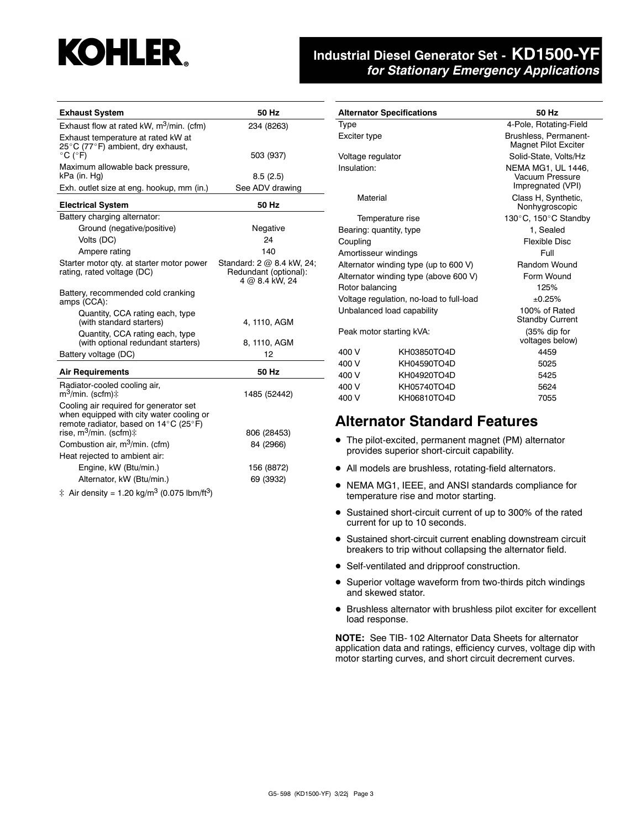## **KOHLER.**

#### **Industrial Diesel Generator Set - KD1500-YF** *for Stationary Emergency Applications*

| <b>Exhaust System</b>                                                                                                                                                                                                                                                                                                                                                                     | 50 Hz                                                                                                                               |
|-------------------------------------------------------------------------------------------------------------------------------------------------------------------------------------------------------------------------------------------------------------------------------------------------------------------------------------------------------------------------------------------|-------------------------------------------------------------------------------------------------------------------------------------|
| Exhaust flow at rated kW, $m^3/m$ in. (cfm)                                                                                                                                                                                                                                                                                                                                               | 234 (8263)                                                                                                                          |
| Exhaust temperature at rated kW at<br>25°C (77°F) ambient, dry exhaust,<br>$^{\circ}$ C ( $^{\circ}$ F)                                                                                                                                                                                                                                                                                   | 503 (937)                                                                                                                           |
| Maximum allowable back pressure,<br>kPa (in. Hg)                                                                                                                                                                                                                                                                                                                                          | 8.5(2.5)                                                                                                                            |
| Exh. outlet size at eng. hookup, mm (in.)                                                                                                                                                                                                                                                                                                                                                 | See ADV drawing                                                                                                                     |
| <b>Electrical System</b>                                                                                                                                                                                                                                                                                                                                                                  | 50 Hz                                                                                                                               |
| Battery charging alternator:<br>Ground (negative/positive)<br>Volts (DC)<br>Ampere rating<br>Starter motor qty. at starter motor power<br>rating, rated voltage (DC)<br>Battery, recommended cold cranking<br>amps (CCA):<br>Quantity, CCA rating each, type<br>(with standard starters)<br>Quantity, CCA rating each, type<br>(with optional redundant starters)<br>Battery voltage (DC) | Negative<br>24<br>140<br>Standard: 2 @ 8.4 kW, 24;<br>Redundant (optional):<br>4 @ 8.4 kW, 24<br>4, 1110, AGM<br>8, 1110, AGM<br>12 |
|                                                                                                                                                                                                                                                                                                                                                                                           | 50 Hz                                                                                                                               |
| <b>Air Requirements</b><br>Radiator-cooled cooling air,<br>m <sup>3</sup> /min. (scfm)‡<br>Cooling air required for generator set<br>when equipped with city water cooling or<br>remote radiator, based on 14°C (25°F)                                                                                                                                                                    | 1485 (52442)                                                                                                                        |
| rise, m <sup>3</sup> /min. (scfm)‡                                                                                                                                                                                                                                                                                                                                                        | 806 (28453)                                                                                                                         |
| Combustion air, m <sup>3</sup> /min. (cfm)<br>Heat rejected to ambient air:                                                                                                                                                                                                                                                                                                               | 84 (2966)                                                                                                                           |
| Engine, kW (Btu/min.)<br>Alternator, kW (Btu/min.)                                                                                                                                                                                                                                                                                                                                        | 156 (8872)<br>69 (3932)                                                                                                             |

 $\ddagger$  Air density = 1.20 kg/m<sup>3</sup> (0.075 lbm/ft<sup>3</sup>)

|                          | <b>Alternator Specifications</b>         | 50 Hz                                                      |  |  |
|--------------------------|------------------------------------------|------------------------------------------------------------|--|--|
| Type                     |                                          | 4-Pole, Rotating-Field                                     |  |  |
| Exciter type             |                                          | Brushless, Permanent-<br><b>Magnet Pilot Exciter</b>       |  |  |
| Voltage regulator        |                                          | Solid-State, Volts/Hz                                      |  |  |
| Insulation:              |                                          | NEMA MG1, UL 1446,<br>Vacuum Pressure<br>Impregnated (VPI) |  |  |
| Material                 |                                          | Class H, Synthetic,<br>Nonhygroscopic                      |  |  |
|                          | Temperature rise                         | 130°C, 150°C Standby                                       |  |  |
|                          | Bearing: quantity, type                  | 1, Sealed                                                  |  |  |
| Coupling                 |                                          | Flexible Disc                                              |  |  |
| Amortisseur windings     |                                          | Full                                                       |  |  |
|                          | Alternator winding type (up to 600 V)    | Random Wound                                               |  |  |
|                          | Alternator winding type (above 600 V)    | Form Wound                                                 |  |  |
| Rotor balancing          |                                          | 125%                                                       |  |  |
|                          | Voltage regulation, no-load to full-load | ±0.25%                                                     |  |  |
|                          | Unbalanced load capability               | 100% of Rated<br><b>Standby Current</b>                    |  |  |
| Peak motor starting kVA: |                                          | $(35%$ dip for<br>voltages below)                          |  |  |
| 400 V                    | KH03850TO4D                              | 4459                                                       |  |  |
| 400 V                    | KH04590TO4D                              | 5025                                                       |  |  |
| 400 V                    | KH04920TO4D                              | 5425                                                       |  |  |
| 400 V                    | KH05740TO4D                              | 5624                                                       |  |  |
| 400 V<br>KH06810TO4D     |                                          | 7055                                                       |  |  |
|                          |                                          |                                                            |  |  |

#### **Alternator Standard Features**

- The pilot-excited, permanent magnet (PM) alternator provides superior short-circuit capability.
- All models are brushless, rotating-field alternators.
- NEMA MG1, IEEE, and ANSI standards compliance for temperature rise and motor starting.
- Sustained short-circuit current of up to 300% of the rated current for up to 10 seconds.
- Sustained short-circuit current enabling downstream circuit breakers to trip without collapsing the alternator field.
- Self-ventilated and dripproof construction.
- Superior voltage waveform from two-thirds pitch windings and skewed stator.
- Brushless alternator with brushless pilot exciter for excellent load response.

**NOTE:** See TIB- 102 Alternator Data Sheets for alternator application data and ratings, efficiency curves, voltage dip with motor starting curves, and short circuit decrement curves.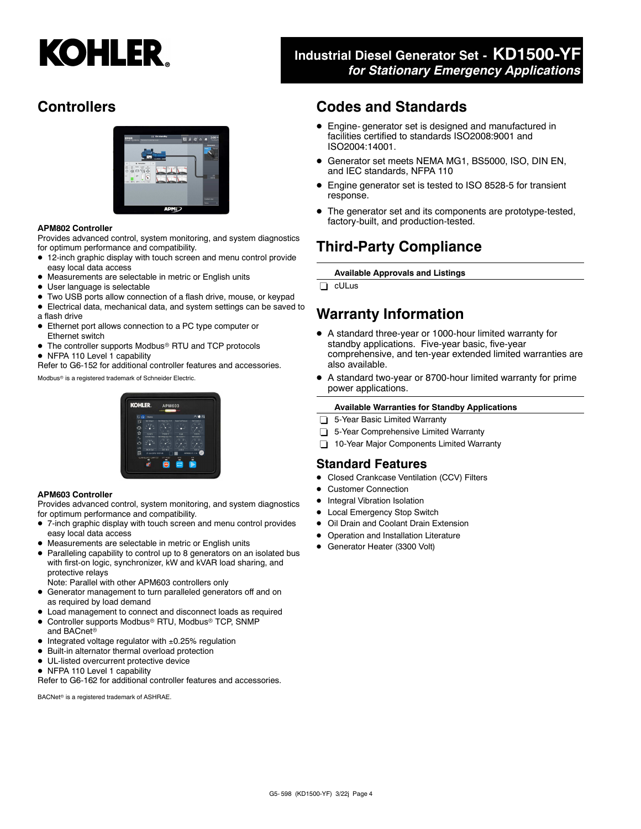# **KOHLER.**

#### **Industrial Diesel Generator Set - KD1500-YF** *for Stationary Emergency Applications*

#### **Controllers**



#### **APM802 Controller**

Provides advanced control, system monitoring, and system diagnostics for optimum performance and compatibility.

- 12-inch graphic display with touch screen and menu control provide easy local data access
- Measurements are selectable in metric or English units
- User language is selectable
- Two USB ports allow connection of a flash drive, mouse, or keypad
- Electrical data, mechanical data, and system settings can be saved to a flash drive
- Ethernet port allows connection to a PC type computer or Ethernet switch
- The controller supports Modbus<sup>®</sup> RTU and TCP protocols
- NFPA 110 Level 1 capability

Refer to G6-152 for additional controller features and accessories.

Modbus<sup>®</sup> is a registered trademark of Schneider Electric.

# **KOHI ED**

#### **APM603 Controller**

Provides advanced control, system monitoring, and system diagnostics for optimum performance and compatibility.

- 7-inch graphic display with touch screen and menu control provides easy local data access
- Measurements are selectable in metric or English units
- Paralleling capability to control up to 8 generators on an isolated bus with first-on logic, synchronizer, kW and kVAR load sharing, and protective relays
- Note: Parallel with other APM603 controllers only
- Generator management to turn paralleled generators off and on as required by load demand
- Load management to connect and disconnect loads as required
- Controller supports Modbus<sup>®</sup> RTU, Modbus<sup>®</sup> TCP, SNMP and BACnet
- $\bullet$  Integrated voltage regulator with  $\pm 0.25\%$  regulation
- Built-in alternator thermal overload protection
- UL-listed overcurrent protective device
- NFPA 110 Level 1 capability

Refer to G6-162 for additional controller features and accessories.

BACNet<sup>®</sup> is a registered trademark of ASHRAE.

#### **Codes and Standards**

- Engine- generator set is designed and manufactured in facilities certified to standards ISO2008:9001 and ISO2004:14001.
- Generator set meets NEMA MG1, BS5000, ISO, DIN EN, and IEC standards, NFPA 110
- Engine generator set is tested to ISO 8528-5 for transient response.
- The generator set and its components are prototype-tested, factory-built, and production-tested.

### **Third-Party Compliance**

**Available Approvals and Listings**

cULus

#### **Warranty Information**

- A standard three-year or 1000-hour limited warranty for standby applications. Five-year basic, five-year comprehensive, and ten-year extended limited warranties are also available.
- A standard two-year or 8700-hour limited warranty for prime power applications.

#### **Available Warranties for Standby Applications**

- 5-Year Basic Limited Warranty
- 5-Year Comprehensive Limited Warranty
- 10-Year Major Components Limited Warranty

#### **Standard Features**

- Closed Crankcase Ventilation (CCV) Filters
- Customer Connection
- Integral Vibration Isolation
- Local Emergency Stop Switch
- Oil Drain and Coolant Drain Extension
- Operation and Installation Literature
- Generator Heater (3300 Volt)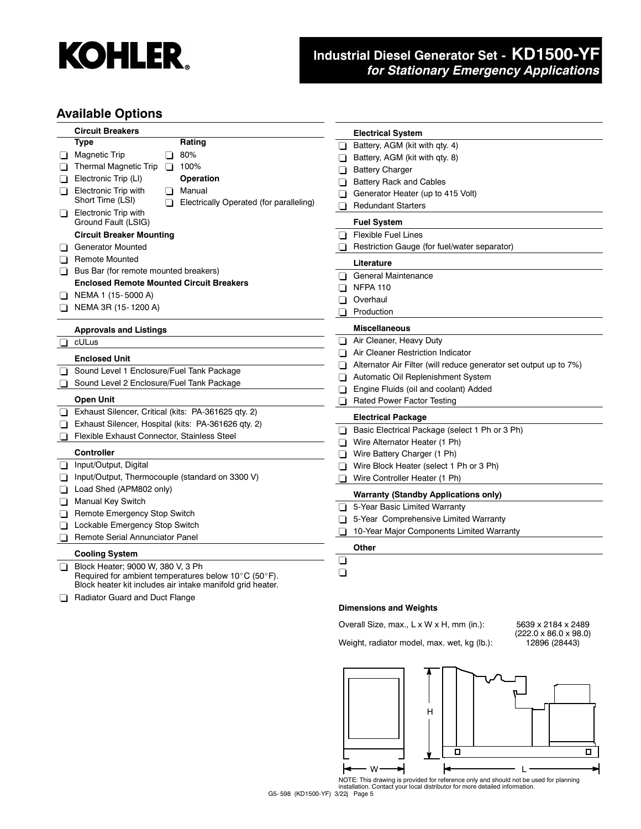

### **Industrial Diesel Generator Set - KD1500-YF** *for Stationary Emergency Applications*

#### **Available Options**

| <b>Circuit Breakers</b>                                     | <b>Electrical System</b>                                          |
|-------------------------------------------------------------|-------------------------------------------------------------------|
| <b>Type</b><br>Rating                                       | Battery, AGM (kit with qty. 4)<br>H                               |
| 80%<br><b>Magnetic Trip</b><br>⊔<br>ப                       | Battery, AGM (kit with qty. 8)                                    |
| <b>Thermal Magnetic Trip</b><br>$\Box$ 100%                 | <b>Battery Charger</b>                                            |
| Operation<br>Electronic Trip (LI)                           | <b>Battery Rack and Cables</b><br>n                               |
| Electronic Trip with<br>Manual<br>◻<br>l I                  | Generator Heater (up to 415 Volt)                                 |
| Short Time (LSI)<br>Electrically Operated (for paralleling) | <b>Redundant Starters</b><br>H                                    |
| <b>Electronic Trip with</b><br>❏<br>Ground Fault (LSIG)     | <b>Fuel System</b>                                                |
| <b>Circuit Breaker Mounting</b>                             | <b>Flexible Fuel Lines</b><br>l I                                 |
| <b>Generator Mounted</b><br>⊔                               | Restriction Gauge (for fuel/water separator)                      |
| <b>Remote Mounted</b><br>o.                                 | Literature                                                        |
| Bus Bar (for remote mounted breakers)<br>⊔                  | General Maintenance<br>n.                                         |
| <b>Enclosed Remote Mounted Circuit Breakers</b>             | <b>NFPA 110</b>                                                   |
| NEMA 1 (15-5000 A)                                          | Overhaul<br>$\blacksquare$                                        |
| NEMA 3R (15-1200 A)                                         | Production                                                        |
|                                                             |                                                                   |
| <b>Approvals and Listings</b>                               | <b>Miscellaneous</b>                                              |
| cULus                                                       | Air Cleaner, Heavy Duty                                           |
| <b>Enclosed Unit</b>                                        | Air Cleaner Restriction Indicator<br>n                            |
| Sound Level 1 Enclosure/Fuel Tank Package<br>⊔              | Alternator Air Filter (will reduce generator set output up to 7%) |
| Sound Level 2 Enclosure/Fuel Tank Package<br>◻              | Automatic Oil Replenishment System<br>П                           |
|                                                             | Engine Fluids (oil and coolant) Added                             |
| <b>Open Unit</b>                                            | Rated Power Factor Testing<br>ப                                   |
| Exhaust Silencer, Critical (kits: PA-361625 qty. 2)<br>❏    | <b>Electrical Package</b>                                         |
| Exhaust Silencer, Hospital (kits: PA-361626 qty. 2)<br>⊔    | Basic Electrical Package (select 1 Ph or 3 Ph)<br>◻               |
| Flexible Exhaust Connector, Stainless Steel<br>◻            | Wire Alternator Heater (1 Ph)<br>⊓                                |
| <b>Controller</b>                                           | Wire Battery Charger (1 Ph)                                       |
| Input/Output, Digital<br>ப                                  | Wire Block Heater (select 1 Ph or 3 Ph)                           |
| Input/Output, Thermocouple (standard on 3300 V)<br>ப        | Wire Controller Heater (1 Ph)                                     |
| Load Shed (APM802 only)<br>❏                                | <b>Warranty (Standby Applications only)</b>                       |
| Manual Key Switch                                           | 5-Year Basic Limited Warranty<br>n.                               |
| Remote Emergency Stop Switch<br>ப                           | 5-Year Comprehensive Limited Warranty                             |
| Lockable Emergency Stop Switch<br>⊔                         | 10-Year Major Components Limited Warranty                         |
| Remote Serial Annunciator Panel                             |                                                                   |
| <b>Cooling System</b>                                       | Other                                                             |
| Block Heater; 9000 W, 380 V, 3 Ph<br>◻                      | ⊔                                                                 |
| Required for ambient temperatures below 10°C (50°F).        | ❏                                                                 |
| Block heater kit includes air intake manifold grid heater.  |                                                                   |
| Radiator Guard and Duct Flange                              |                                                                   |
|                                                             | <b>Dimensions and Weights</b>                                     |

## Overall Size, max., L x W x H, mm (in.): 5639 x 2184 x 2489

Weight, radiator model, max. wet, kg (lb.):

 $(222.0 \times 86.0 \times 98.0)$ <br>12896 (28443)



NOTE: This drawing is provided for reference only and should not be used for planning installation. Contact your local distributor for more detailed information.